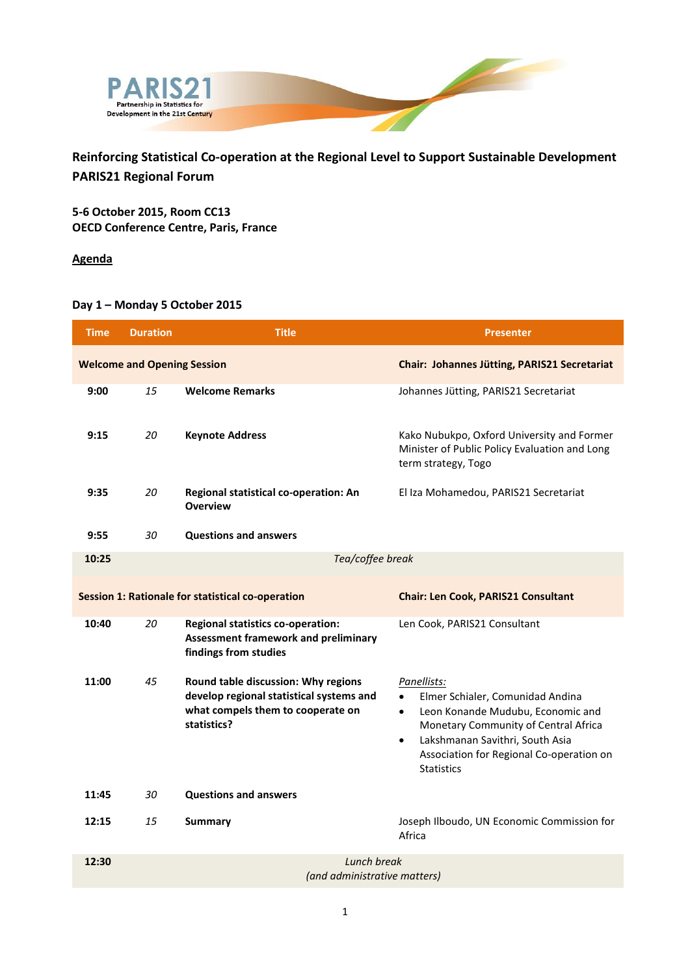

**Reinforcing Statistical Co-operation at the Regional Level to Support Sustainable Development PARIS21 Regional Forum**

**5-6 October 2015, Room CC13 OECD Conference Centre, Paris, France**

**Agenda**

## **Day 1 – Monday 5 October 2015**

| <b>Time</b>                                       | <b>Duration</b>                             | <b>Title</b>                                                                                                                        | <b>Presenter</b>                                                                                                                                                                                                                                                        |  |  |  |
|---------------------------------------------------|---------------------------------------------|-------------------------------------------------------------------------------------------------------------------------------------|-------------------------------------------------------------------------------------------------------------------------------------------------------------------------------------------------------------------------------------------------------------------------|--|--|--|
|                                                   | <b>Welcome and Opening Session</b>          |                                                                                                                                     | Chair: Johannes Jütting, PARIS21 Secretariat                                                                                                                                                                                                                            |  |  |  |
| 9:00                                              | 15                                          | <b>Welcome Remarks</b>                                                                                                              | Johannes Jütting, PARIS21 Secretariat                                                                                                                                                                                                                                   |  |  |  |
| 9:15                                              | 20                                          | <b>Keynote Address</b>                                                                                                              | Kako Nubukpo, Oxford University and Former<br>Minister of Public Policy Evaluation and Long<br>term strategy, Togo                                                                                                                                                      |  |  |  |
| 9:35                                              | 20                                          | Regional statistical co-operation: An<br><b>Overview</b>                                                                            | El Iza Mohamedou, PARIS21 Secretariat                                                                                                                                                                                                                                   |  |  |  |
| 9:55                                              | 30                                          | <b>Questions and answers</b>                                                                                                        |                                                                                                                                                                                                                                                                         |  |  |  |
| 10:25                                             |                                             | Tea/coffee break                                                                                                                    |                                                                                                                                                                                                                                                                         |  |  |  |
| Session 1: Rationale for statistical co-operation |                                             |                                                                                                                                     | <b>Chair: Len Cook, PARIS21 Consultant</b>                                                                                                                                                                                                                              |  |  |  |
| 10:40                                             | 20                                          | <b>Regional statistics co-operation:</b><br>Assessment framework and preliminary<br>findings from studies                           | Len Cook, PARIS21 Consultant                                                                                                                                                                                                                                            |  |  |  |
| 11:00                                             | 45                                          | Round table discussion: Why regions<br>develop regional statistical systems and<br>what compels them to cooperate on<br>statistics? | Panellists:<br>Elmer Schialer, Comunidad Andina<br>$\bullet$<br>Leon Konande Mudubu, Economic and<br>$\bullet$<br>Monetary Community of Central Africa<br>Lakshmanan Savithri, South Asia<br>$\bullet$<br>Association for Regional Co-operation on<br><b>Statistics</b> |  |  |  |
| 11:45                                             | 30                                          | <b>Questions and answers</b>                                                                                                        |                                                                                                                                                                                                                                                                         |  |  |  |
| 12:15                                             | 15                                          | <b>Summary</b>                                                                                                                      | Joseph Ilboudo, UN Economic Commission for<br>Africa                                                                                                                                                                                                                    |  |  |  |
| 12:30                                             | Lunch break<br>(and administrative matters) |                                                                                                                                     |                                                                                                                                                                                                                                                                         |  |  |  |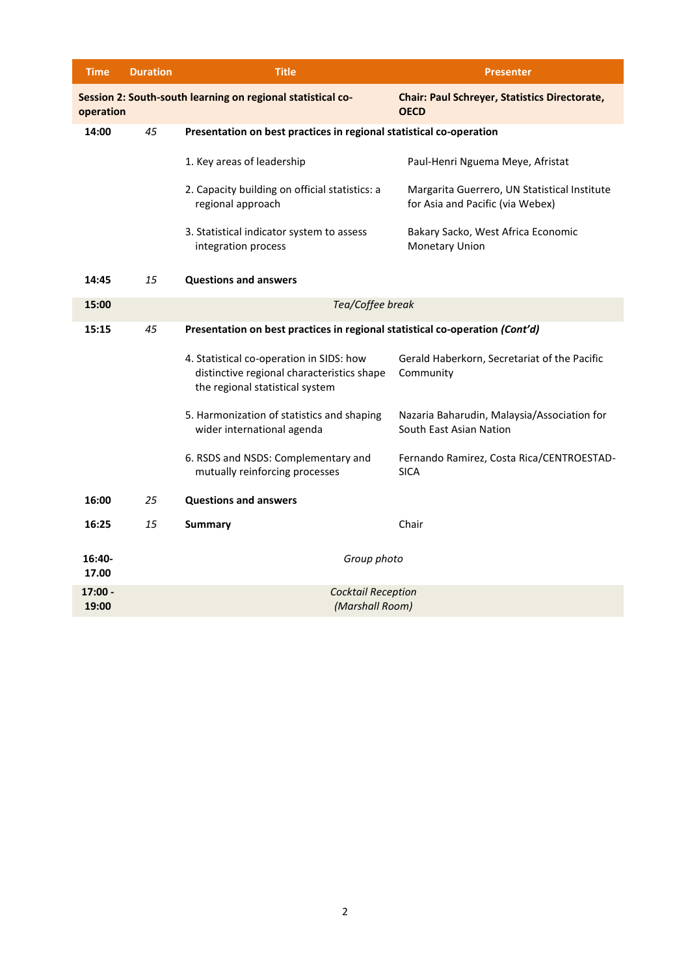| <b>Time</b>     | <b>Duration</b> | <b>Title</b>                                                                                                              | <b>Presenter</b>                                                                 |  |  |
|-----------------|-----------------|---------------------------------------------------------------------------------------------------------------------------|----------------------------------------------------------------------------------|--|--|
| operation       |                 | Session 2: South-south learning on regional statistical co-                                                               | <b>Chair: Paul Schreyer, Statistics Directorate,</b><br><b>OECD</b>              |  |  |
| 14:00           | 45              | Presentation on best practices in regional statistical co-operation                                                       |                                                                                  |  |  |
|                 |                 | 1. Key areas of leadership                                                                                                | Paul-Henri Nguema Meye, Afristat                                                 |  |  |
|                 |                 | 2. Capacity building on official statistics: a<br>regional approach                                                       | Margarita Guerrero, UN Statistical Institute<br>for Asia and Pacific (via Webex) |  |  |
|                 |                 | 3. Statistical indicator system to assess<br>integration process                                                          | Bakary Sacko, West Africa Economic<br><b>Monetary Union</b>                      |  |  |
| 14:45           | 15              | <b>Questions and answers</b>                                                                                              |                                                                                  |  |  |
| 15:00           |                 | Tea/Coffee break                                                                                                          |                                                                                  |  |  |
| 15:15           | 45              | Presentation on best practices in regional statistical co-operation (Cont'd)                                              |                                                                                  |  |  |
|                 |                 | 4. Statistical co-operation in SIDS: how<br>distinctive regional characteristics shape<br>the regional statistical system | Gerald Haberkorn, Secretariat of the Pacific<br>Community                        |  |  |
|                 |                 | 5. Harmonization of statistics and shaping<br>wider international agenda                                                  | Nazaria Baharudin, Malaysia/Association for<br>South East Asian Nation           |  |  |
|                 |                 | 6. RSDS and NSDS: Complementary and<br>mutually reinforcing processes                                                     | Fernando Ramirez, Costa Rica/CENTROESTAD-<br><b>SICA</b>                         |  |  |
| 16:00           | 25              | <b>Questions and answers</b>                                                                                              |                                                                                  |  |  |
| 16:25           | 15              | <b>Summary</b>                                                                                                            | Chair                                                                            |  |  |
| 16:40-<br>17.00 |                 | Group photo                                                                                                               |                                                                                  |  |  |
| $17:00 -$       |                 | <b>Cocktail Reception</b><br>(Marshall Room)                                                                              |                                                                                  |  |  |
| 19:00           |                 |                                                                                                                           |                                                                                  |  |  |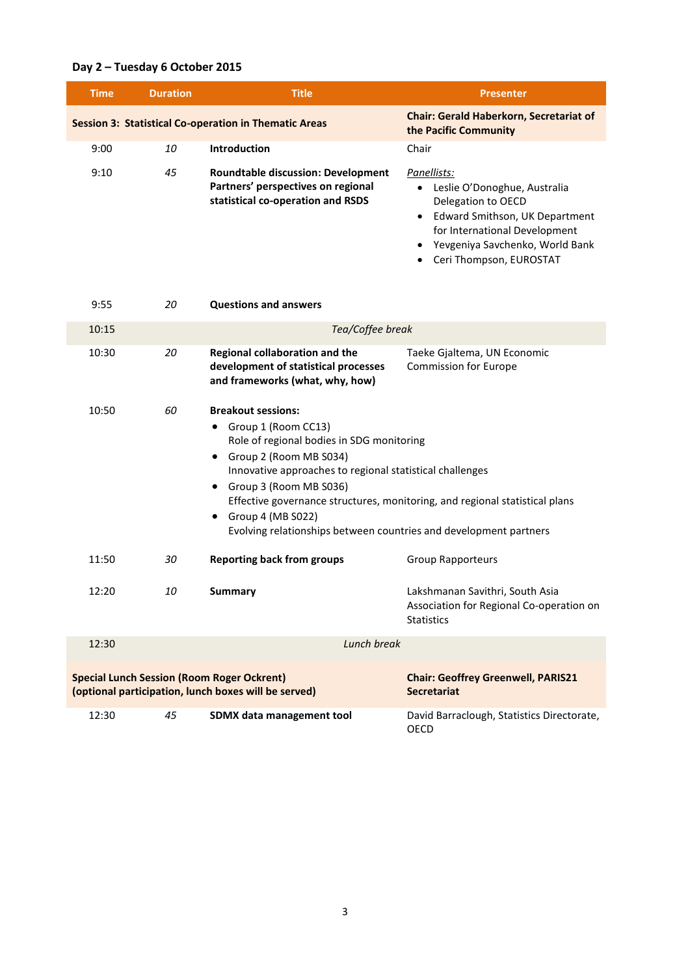## **Day 2 – Tuesday 6 October 2015**

| <b>Time</b> | <b>Duration</b> | <b>Title</b>                                                                                                                                                                                                                                                                                                                                                                                     | <b>Presenter</b>                                                                                                                                                                                                                          |  |
|-------------|-----------------|--------------------------------------------------------------------------------------------------------------------------------------------------------------------------------------------------------------------------------------------------------------------------------------------------------------------------------------------------------------------------------------------------|-------------------------------------------------------------------------------------------------------------------------------------------------------------------------------------------------------------------------------------------|--|
|             |                 | <b>Session 3: Statistical Co-operation in Thematic Areas</b>                                                                                                                                                                                                                                                                                                                                     | <b>Chair: Gerald Haberkorn, Secretariat of</b><br>the Pacific Community                                                                                                                                                                   |  |
| 9:00        | 10              | Introduction                                                                                                                                                                                                                                                                                                                                                                                     | Chair                                                                                                                                                                                                                                     |  |
| 9:10        | 45              | <b>Roundtable discussion: Development</b><br>Partners' perspectives on regional<br>statistical co-operation and RSDS                                                                                                                                                                                                                                                                             | Panellists:<br>Leslie O'Donoghue, Australia<br>$\bullet$<br>Delegation to OECD<br>Edward Smithson, UK Department<br>$\bullet$<br>for International Development<br>Yevgeniya Savchenko, World Bank<br>Ceri Thompson, EUROSTAT<br>$\bullet$ |  |
| 9:55        | 20              | <b>Questions and answers</b>                                                                                                                                                                                                                                                                                                                                                                     |                                                                                                                                                                                                                                           |  |
| 10:15       |                 | Tea/Coffee break                                                                                                                                                                                                                                                                                                                                                                                 |                                                                                                                                                                                                                                           |  |
| 10:30       | 20              | <b>Regional collaboration and the</b><br>development of statistical processes<br>and frameworks (what, why, how)                                                                                                                                                                                                                                                                                 | Taeke Gjaltema, UN Economic<br><b>Commission for Europe</b>                                                                                                                                                                               |  |
| 10:50       | 60              | <b>Breakout sessions:</b><br>Group 1 (Room CC13)<br>٠<br>Role of regional bodies in SDG monitoring<br>Group 2 (Room MB S034)<br>Innovative approaches to regional statistical challenges<br>Group 3 (Room MB S036)<br>Effective governance structures, monitoring, and regional statistical plans<br>Group 4 (MB S022)<br>٠<br>Evolving relationships between countries and development partners |                                                                                                                                                                                                                                           |  |
| 11:50       | 30              | <b>Reporting back from groups</b>                                                                                                                                                                                                                                                                                                                                                                | <b>Group Rapporteurs</b>                                                                                                                                                                                                                  |  |
| 12:20       | 10              | <b>Summary</b>                                                                                                                                                                                                                                                                                                                                                                                   | Lakshmanan Savithri, South Asia<br>Association for Regional Co-operation on<br><b>Statistics</b>                                                                                                                                          |  |
| 12:30       |                 | Lunch break                                                                                                                                                                                                                                                                                                                                                                                      |                                                                                                                                                                                                                                           |  |
|             |                 | <b>Special Lunch Session (Room Roger Ockrent)</b><br>(optional participation, lunch boxes will be served)                                                                                                                                                                                                                                                                                        | <b>Chair: Geoffrey Greenwell, PARIS21</b><br><b>Secretariat</b>                                                                                                                                                                           |  |
| 12:30       | 45              | SDMX data management tool                                                                                                                                                                                                                                                                                                                                                                        | David Barraclough, Statistics Directorate,<br><b>OECD</b>                                                                                                                                                                                 |  |